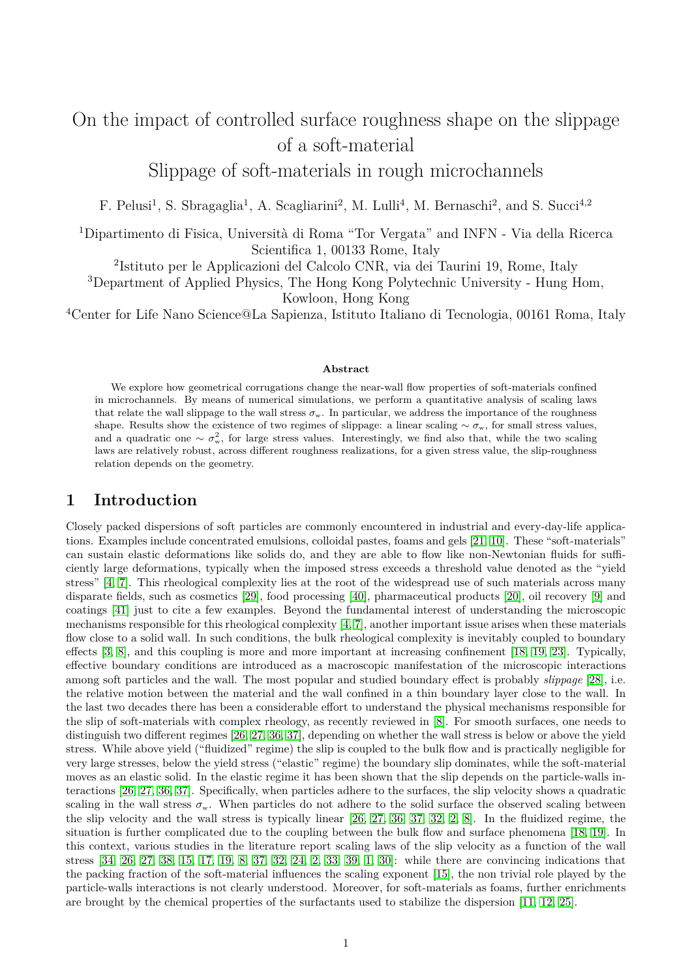# On the impact of controlled surface roughness shape on the slippage of a soft-material

Slippage of soft-materials in rough microchannels

F. Pelusi<sup>1</sup>, S. Sbragaglia<sup>1</sup>, A. Scagliarini<sup>2</sup>, M. Lulli<sup>4</sup>, M. Bernaschi<sup>2</sup>, and S. Succi<sup>4,2</sup>

<sup>1</sup>Dipartimento di Fisica, Università di Roma "Tor Vergata" and INFN - Via della Ricerca Scientifica 1, 00133 Rome, Italy

2 Istituto per le Applicazioni del Calcolo CNR, via dei Taurini 19, Rome, Italy

<sup>3</sup>Department of Applied Physics, The Hong Kong Polytechnic University - Hung Hom,

Kowloon, Hong Kong

<sup>4</sup>Center for Life Nano Science@La Sapienza, Istituto Italiano di Tecnologia, 00161 Roma, Italy

#### **Abstract**

We explore how geometrical corrugations change the near-wall flow properties of soft-materials confined in microchannels. By means of numerical simulations, we perform a quantitative analysis of scaling laws that relate the wall slippage to the wall stress  $\sigma_w$ . In particular, we address the importance of the roughness shape. Results show the existence of two regimes of slippage: a linear scaling ∼  $\sigma_w$ , for small stress values, and a quadratic one  $\sim \sigma_w^2$ , for large stress values. Interestingly, we find also that, while the two scaling laws are relatively robust, across different roughness realizations, for a given stress value, the slip-roughness relation depends on the geometry.

## **1 Introduction**

Closely packed dispersions of soft particles are commonly encountered in industrial and every-day-life applications. Examples include concentrated emulsions, colloidal pastes, foams and gels [\[21,](#page-5-0) [10\]](#page-5-1). These "soft-materials" can sustain elastic deformations like solids do, and they are able to flow like non-Newtonian fluids for sufficiently large deformations, typically when the imposed stress exceeds a threshold value denoted as the "yield stress" [\[4,](#page-5-2) [7\]](#page-5-3). This rheological complexity lies at the root of the widespread use of such materials across many disparate fields, such as cosmetics [\[29\]](#page-5-4), food processing [\[40\]](#page-6-0), pharmaceutical products [\[20\]](#page-5-5), oil recovery [\[9\]](#page-5-6) and coatings [\[41\]](#page-6-1) just to cite a few examples. Beyond the fundamental interest of understanding the microscopic mechanisms responsible for this rheological complexity [\[4,](#page-5-2) [7\]](#page-5-3), another important issue arises when these materials flow close to a solid wall. In such conditions, the bulk rheological complexity is inevitably coupled to boundary effects [\[3,](#page-5-7) [8\]](#page-5-8), and this coupling is more and more important at increasing confinement [\[18,](#page-5-9) [19,](#page-5-10) [23\]](#page-5-11). Typically, effective boundary conditions are introduced as a macroscopic manifestation of the microscopic interactions among soft particles and the wall. The most popular and studied boundary effect is probably *slippage* [\[28\]](#page-5-12), i.e. the relative motion between the material and the wall confined in a thin boundary layer close to the wall. In the last two decades there has been a considerable effort to understand the physical mechanisms responsible for the slip of soft-materials with complex rheology, as recently reviewed in [\[8\]](#page-5-8). For smooth surfaces, one needs to distinguish two different regimes [\[26,](#page-5-13) [27,](#page-5-14) [36,](#page-6-2) [37\]](#page-6-3), depending on whether the wall stress is below or above the yield stress. While above yield ("fluidized" regime) the slip is coupled to the bulk flow and is practically negligible for very large stresses, below the yield stress ("elastic" regime) the boundary slip dominates, while the soft-material moves as an elastic solid. In the elastic regime it has been shown that the slip depends on the particle-walls interactions [\[26,](#page-5-13) [27,](#page-5-14) [36,](#page-6-2) [37\]](#page-6-3). Specifically, when particles adhere to the surfaces, the slip velocity shows a quadratic scaling in the wall stress  $\sigma_w$ . When particles do not adhere to the solid surface the observed scaling between the slip velocity and the wall stress is typically linear [\[26,](#page-5-13) [27,](#page-5-14) [36,](#page-6-2) [37,](#page-6-3) [32,](#page-6-4) [2,](#page-5-15) [8\]](#page-5-8). In the fluidized regime, the situation is further complicated due to the coupling between the bulk flow and surface phenomena [\[18,](#page-5-9) [19\]](#page-5-10). In this context, various studies in the literature report scaling laws of the slip velocity as a function of the wall stress [\[34,](#page-6-5) [26,](#page-5-13) [27,](#page-5-14) [38,](#page-6-6) [15,](#page-5-16) [17,](#page-5-17) [19,](#page-5-10) [8,](#page-5-8) [37,](#page-6-3) [32,](#page-6-4) [24,](#page-5-18) [2,](#page-5-15) [33,](#page-6-7) [39,](#page-6-8) [1,](#page-5-19) [30\]](#page-5-20): while there are convincing indications that the packing fraction of the soft-material influences the scaling exponent [\[15\]](#page-5-16), the non trivial role played by the particle-walls interactions is not clearly understood. Moreover, for soft-materials as foams, further enrichments are brought by the chemical properties of the surfactants used to stabilize the dispersion [\[11,](#page-5-21) [12,](#page-5-22) [25\]](#page-5-23).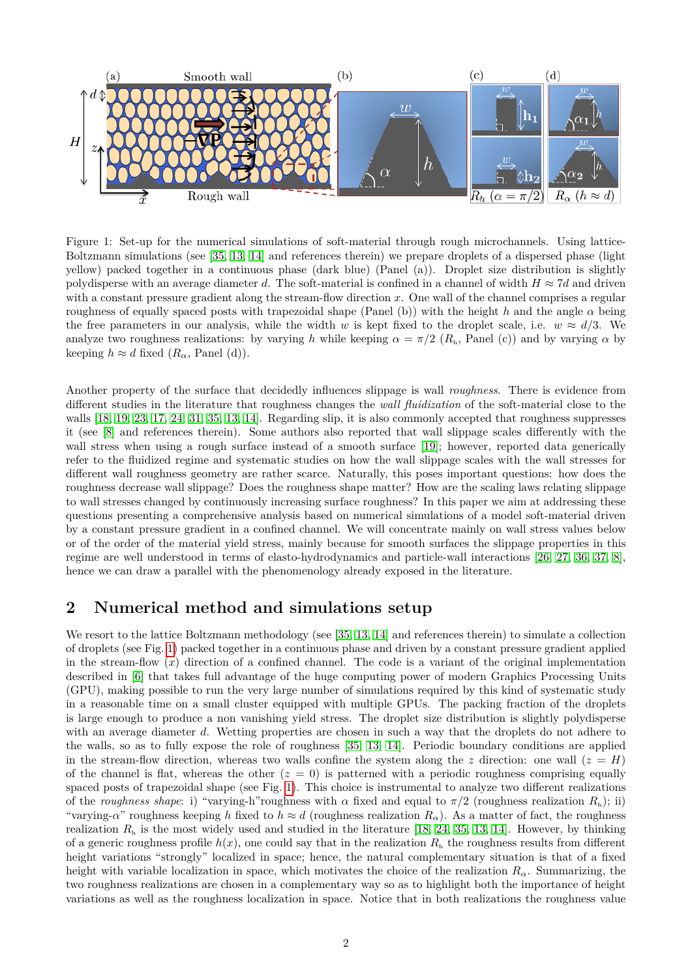

<span id="page-1-0"></span>Figure 1: Set-up for the numerical simulations of soft-material through rough microchannels. Using lattice-Boltzmann simulations (see [\[35,](#page-6-9) [13,](#page-5-24) [14\]](#page-5-25) and references therein) we prepare droplets of a dispersed phase (light yellow) packed together in a continuous phase (dark blue) (Panel (a)). Droplet size distribution is slightly polydisperse with an average diameter *d*. The soft-material is confined in a channel of width  $H \approx 7d$  and driven with a constant pressure gradient along the stream-flow direction x. One wall of the channel comprises a regular roughness of equally spaced posts with trapezoidal shape (Panel (b)) with the height *h* and the angle *α* being the free parameters in our analysis, while the width *w* is kept fixed to the droplet scale, i.e.  $w \approx d/3$ . We analyze two roughness realizations: by varying *h* while keeping  $\alpha = \pi/2$  ( $R<sub>h</sub>$ , Panel (c)) and by varying  $\alpha$  by keeping  $h \approx d$  fixed  $(R_{\alpha}, \text{ Panel } (d))$ .

Another property of the surface that decidedly influences slippage is wall *roughness*. There is evidence from different studies in the literature that roughness changes the *wall fluidization* of the soft-material close to the walls [\[18,](#page-5-9) [19,](#page-5-10) [23,](#page-5-11) [17,](#page-5-17) [24,](#page-5-18) [31,](#page-5-26) [35,](#page-6-9) [13,](#page-5-24) [14\]](#page-5-25). Regarding slip, it is also commonly accepted that roughness suppresses it (see [\[8\]](#page-5-8) and references therein). Some authors also reported that wall slippage scales differently with the wall stress when using a rough surface instead of a smooth surface [\[19\]](#page-5-10); however, reported data generically refer to the fluidized regime and systematic studies on how the wall slippage scales with the wall stresses for different wall roughness geometry are rather scarce. Naturally, this poses important questions: how does the roughness decrease wall slippage? Does the roughness shape matter? How are the scaling laws relating slippage to wall stresses changed by continuously increasing surface roughness? In this paper we aim at addressing these questions presenting a comprehensive analysis based on numerical simulations of a model soft-material driven by a constant pressure gradient in a confined channel. We will concentrate mainly on wall stress values below or of the order of the material yield stress, mainly because for smooth surfaces the slippage properties in this regime are well understood in terms of elasto-hydrodynamics and particle-wall interactions [\[26,](#page-5-13) [27,](#page-5-14) [36,](#page-6-2) [37,](#page-6-3) [8\]](#page-5-8), hence we can draw a parallel with the phenomenology already exposed in the literature.

# **2 Numerical method and simulations setup**

We resort to the lattice Boltzmann methodology (see [\[35,](#page-6-9) [13,](#page-5-24) [14\]](#page-5-25) and references therein) to simulate a collection of droplets (see Fig. [1\)](#page-1-0) packed together in a continuous phase and driven by a constant pressure gradient applied in the stream-flow  $(x)$  direction of a confined channel. The code is a variant of the original implementation described in [\[6\]](#page-5-27) that takes full advantage of the huge computing power of modern Graphics Processing Units (GPU), making possible to run the very large number of simulations required by this kind of systematic study in a reasonable time on a small cluster equipped with multiple GPUs. The packing fraction of the droplets is large enough to produce a non vanishing yield stress. The droplet size distribution is slightly polydisperse with an average diameter *d*. Wetting properties are chosen in such a way that the droplets do not adhere to the walls, so as to fully expose the role of roughness [\[35,](#page-6-9) [13,](#page-5-24) [14\]](#page-5-25). Periodic boundary conditions are applied in the stream-flow direction, whereas two walls confine the system along the *z* direction: one wall  $(z = H)$ of the channel is flat, whereas the other  $(z = 0)$  is patterned with a periodic roughness comprising equally spaced posts of trapezoidal shape (see Fig. [1\)](#page-1-0). This choice is instrumental to analyze two different realizations of the *roughness shape*: i) "varying-h"roughness with  $\alpha$  fixed and equal to  $\pi/2$  (roughness realization  $R_h$ ); ii) "varying-*α*" roughness keeping *h* fixed to  $h \approx d$  (roughness realization  $R_\alpha$ ). As a matter of fact, the roughness realization  $R<sub>h</sub>$  is the most widely used and studied in the literature [\[18,](#page-5-9) [24,](#page-5-18) [35,](#page-6-9) [13,](#page-5-24) [14\]](#page-5-25). However, by thinking of a generic roughness profile  $h(x)$ , one could say that in the realization  $R<sub>h</sub>$  the roughness results from different height variations "strongly" localized in space; hence, the natural complementary situation is that of a fixed height with variable localization in space, which motivates the choice of the realization  $R_{\alpha}$ . Summarizing, the two roughness realizations are chosen in a complementary way so as to highlight both the importance of height variations as well as the roughness localization in space. Notice that in both realizations the roughness value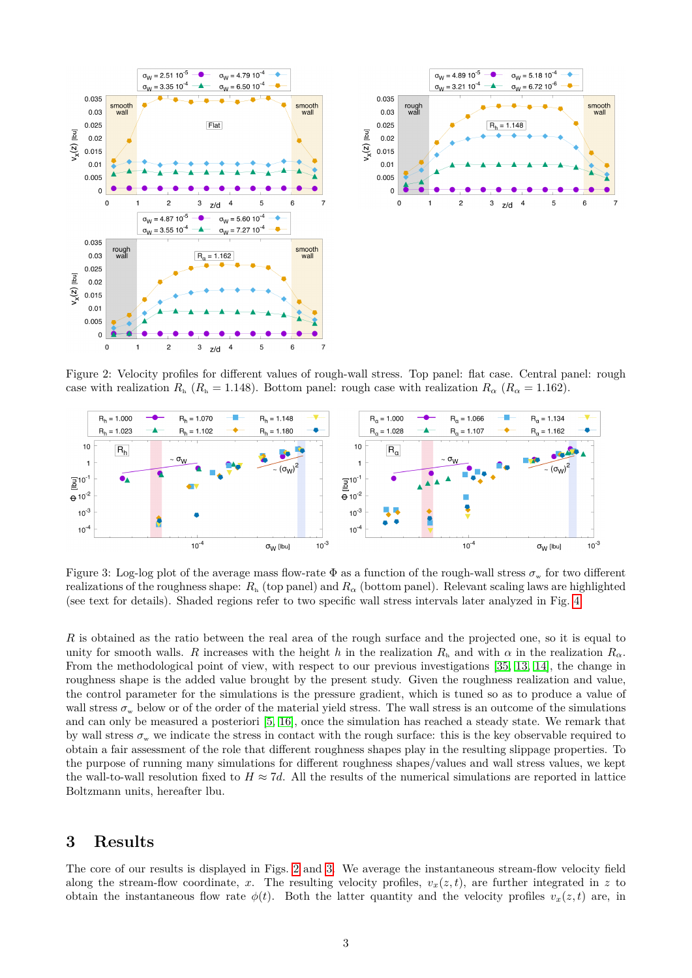



<span id="page-2-0"></span>Figure 2: Velocity profiles for different values of rough-wall stress. Top panel: flat case. Central panel: rough case with realization  $R_h$  ( $R_h = 1.148$ ). Bottom panel: rough case with realization  $R_\alpha$  ( $R_\alpha = 1.162$ ).



<span id="page-2-1"></span>Figure 3: Log-log plot of the average mass flow-rate  $\Phi$  as a function of the rough-wall stress  $\sigma_w$  for two different realizations of the roughness shape:  $R_h$  (top panel) and  $R_\alpha$  (bottom panel). Relevant scaling laws are highlighted (see text for details). Shaded regions refer to two specific wall stress intervals later analyzed in Fig. [4.](#page-3-0)

*R* is obtained as the ratio between the real area of the rough surface and the projected one, so it is equal to unity for smooth walls. *R* increases with the height *h* in the realization  $R_h$  and with  $\alpha$  in the realization  $R_\alpha$ . From the methodological point of view, with respect to our previous investigations [\[35,](#page-6-9) [13,](#page-5-24) [14\]](#page-5-25), the change in roughness shape is the added value brought by the present study. Given the roughness realization and value, the control parameter for the simulations is the pressure gradient, which is tuned so as to produce a value of wall stress  $\sigma_w$  below or of the order of the material yield stress. The wall stress is an outcome of the simulations and can only be measured a posteriori [\[5,](#page-5-28) [16\]](#page-5-29), once the simulation has reached a steady state. We remark that by wall stress  $\sigma_w$  we indicate the stress in contact with the rough surface: this is the key observable required to obtain a fair assessment of the role that different roughness shapes play in the resulting slippage properties. To the purpose of running many simulations for different roughness shapes/values and wall stress values, we kept the wall-to-wall resolution fixed to  $H \approx 7d$ . All the results of the numerical simulations are reported in lattice Boltzmann units, hereafter lbu.

# **3 Results**

The core of our results is displayed in Figs. [2](#page-2-0) and [3.](#page-2-1) We average the instantaneous stream-flow velocity field along the stream-flow coordinate, *x*. The resulting velocity profiles,  $v_x(z, t)$ , are further integrated in *z* to obtain the instantaneous flow rate  $\phi(t)$ . Both the latter quantity and the velocity profiles  $v_x(z,t)$  are, in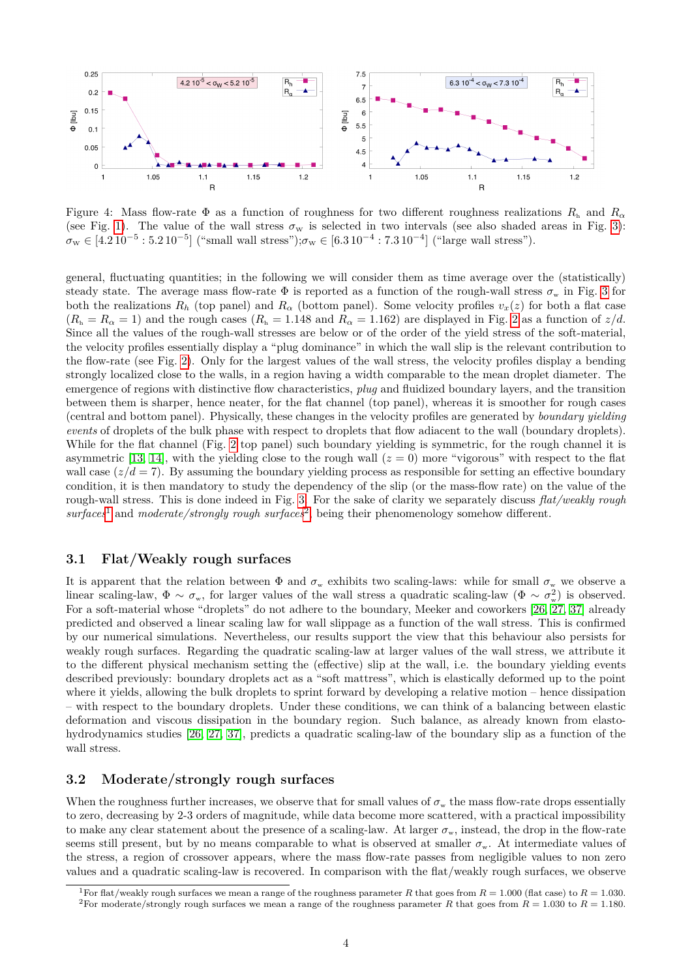

<span id="page-3-0"></span>Figure 4: Mass flow-rate  $\Phi$  as a function of roughness for two different roughness realizations  $R_h$  and  $R_\alpha$ (see Fig. [1\)](#page-1-0). The value of the wall stress  $\sigma_w$  is selected in two intervals (see also shaded areas in Fig. [3\)](#page-2-1):  $\sigma_{\rm w} \in [4.2 \, 10^{-5} : 5.2 \, 10^{-5}]$  ("small wall stress"); $\sigma_{\rm w} \in [6.3 \, 10^{-4} : 7.3 \, 10^{-4}]$  ("large wall stress").

general, fluctuating quantities; in the following we will consider them as time average over the (statistically) steady state. The average mass flow-rate  $\Phi$  is reported as a function of the rough-wall stress  $\sigma_w$  in Fig. [3](#page-2-1) for both the realizations  $R_h$  (top panel) and  $R_\alpha$  (bottom panel). Some velocity profiles  $v_x(z)$  for both a flat case  $(R_h = R_\alpha = 1)$  and the rough cases  $(R_h = 1.148$  and  $R_\alpha = 1.162$ ) are displayed in Fig. [2](#page-2-0) as a function of  $z/d$ . Since all the values of the rough-wall stresses are below or of the order of the yield stress of the soft-material, the velocity profiles essentially display a "plug dominance" in which the wall slip is the relevant contribution to the flow-rate (see Fig. [2\)](#page-2-0). Only for the largest values of the wall stress, the velocity profiles display a bending strongly localized close to the walls, in a region having a width comparable to the mean droplet diameter. The emergence of regions with distinctive flow characteristics, *plug* and fluidized boundary layers, and the transition between them is sharper, hence neater, for the flat channel (top panel), whereas it is smoother for rough cases (central and bottom panel). Physically, these changes in the velocity profiles are generated by *boundary yielding events* of droplets of the bulk phase with respect to droplets that flow adiacent to the wall (boundary droplets). While for the flat channel (Fig. [2](#page-2-0) top panel) such boundary yielding is symmetric, for the rough channel it is asymmetric [\[13,](#page-5-24) [14\]](#page-5-25), with the yielding close to the rough wall  $(z = 0)$  more "vigorous" with respect to the flat wall case  $(z/d = 7)$ . By assuming the boundary yielding process as responsible for setting an effective boundary condition, it is then mandatory to study the dependency of the slip (or the mass-flow rate) on the value of the rough-wall stress. This is done indeed in Fig. [3.](#page-2-1) For the sake of clarity we separately discuss *flat/weakly rough surfaces*[1](#page-3-1) and *moderate/strongly rough surfaces*[2](#page-3-2) , being their phenomenology somehow different.

#### **3.1 Flat/Weakly rough surfaces**

It is apparent that the relation between  $\Phi$  and  $\sigma_w$  exhibits two scaling-laws: while for small  $\sigma_w$  we observe a linear scaling-law,  $\Phi \sim \sigma_{\rm w}$ , for larger values of the wall stress a quadratic scaling-law ( $\Phi \sim \sigma_{\rm w}^2$ ) is observed. For a soft-material whose "droplets" do not adhere to the boundary, Meeker and coworkers [\[26,](#page-5-13) [27,](#page-5-14) [37\]](#page-6-3) already predicted and observed a linear scaling law for wall slippage as a function of the wall stress. This is confirmed by our numerical simulations. Nevertheless, our results support the view that this behaviour also persists for weakly rough surfaces. Regarding the quadratic scaling-law at larger values of the wall stress, we attribute it to the different physical mechanism setting the (effective) slip at the wall, i.e. the boundary yielding events described previously: boundary droplets act as a "soft mattress", which is elastically deformed up to the point where it yields, allowing the bulk droplets to sprint forward by developing a relative motion – hence dissipation – with respect to the boundary droplets. Under these conditions, we can think of a balancing between elastic deformation and viscous dissipation in the boundary region. Such balance, as already known from elastohydrodynamics studies [\[26,](#page-5-13) [27,](#page-5-14) [37\]](#page-6-3), predicts a quadratic scaling-law of the boundary slip as a function of the wall stress.

#### **3.2 Moderate/strongly rough surfaces**

When the roughness further increases, we observe that for small values of  $\sigma_w$  the mass flow-rate drops essentially to zero, decreasing by 2-3 orders of magnitude, while data become more scattered, with a practical impossibility to make any clear statement about the presence of a scaling-law. At larger  $\sigma_w$ , instead, the drop in the flow-rate seems still present, but by no means comparable to what is observed at smaller  $\sigma_w$ . At intermediate values of the stress, a region of crossover appears, where the mass flow-rate passes from negligible values to non zero values and a quadratic scaling-law is recovered. In comparison with the flat/weakly rough surfaces, we observe

<span id="page-3-2"></span><span id="page-3-1"></span><sup>&</sup>lt;sup>1</sup>For flat/weakly rough surfaces we mean a range of the roughness parameter *R* that goes from  $R = 1.000$  (flat case) to  $R = 1.030$ . <sup>2</sup>For moderate/strongly rough surfaces we mean a range of the roughness parameter *R* that goes from  $R = 1.030$  to  $R = 1.180$ .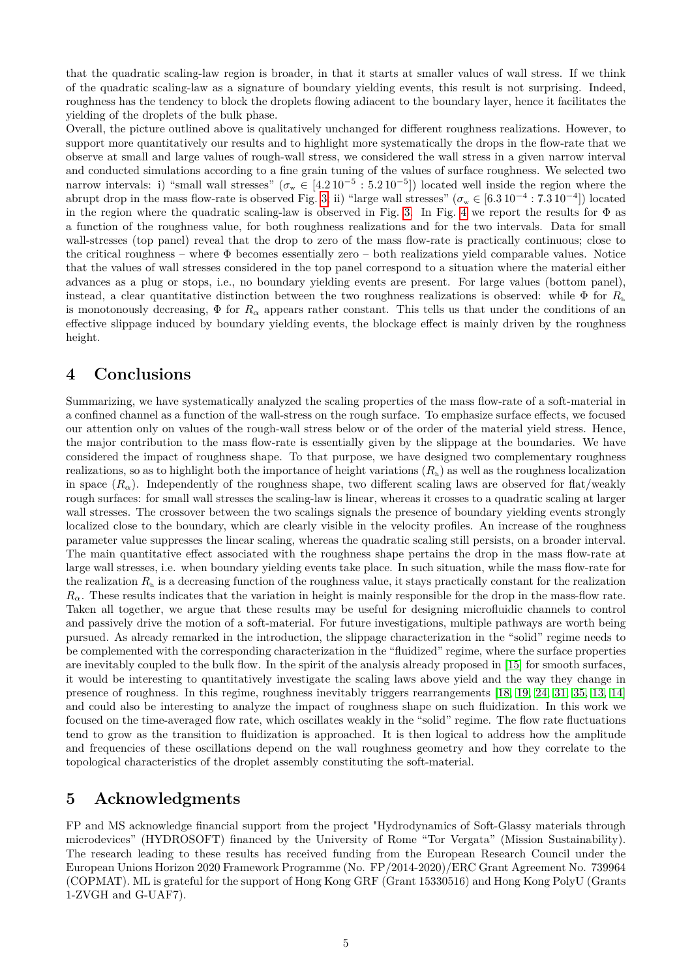that the quadratic scaling-law region is broader, in that it starts at smaller values of wall stress. If we think of the quadratic scaling-law as a signature of boundary yielding events, this result is not surprising. Indeed, roughness has the tendency to block the droplets flowing adiacent to the boundary layer, hence it facilitates the yielding of the droplets of the bulk phase.

Overall, the picture outlined above is qualitatively unchanged for different roughness realizations. However, to support more quantitatively our results and to highlight more systematically the drops in the flow-rate that we observe at small and large values of rough-wall stress, we considered the wall stress in a given narrow interval and conducted simulations according to a fine grain tuning of the values of surface roughness. We selected two narrow intervals: i) "small wall stresses" ( $\sigma_w \in [4.2 \times 10^{-5} : 5.2 \times 10^{-5}]$ ) located well inside the region where the abrupt drop in the mass flow-rate is observed Fig. [3;](#page-2-1) ii) "large wall stresses" ( $\sigma_w \in [6.3 \, 10^{-4} : 7.3 \, 10^{-4}]$ ) located in the region where the quadratic scaling-law is observed in Fig. [3.](#page-2-1) In Fig. [4](#page-3-0) we report the results for  $\Phi$  as a function of the roughness value, for both roughness realizations and for the two intervals. Data for small wall-stresses (top panel) reveal that the drop to zero of the mass flow-rate is practically continuous; close to the critical roughness – where  $\Phi$  becomes essentially zero – both realizations yield comparable values. Notice that the values of wall stresses considered in the top panel correspond to a situation where the material either advances as a plug or stops, i.e., no boundary yielding events are present. For large values (bottom panel), instead, a clear quantitative distinction between the two roughness realizations is observed: while  $\Phi$  for  $R_h$ is monotonously decreasing,  $\Phi$  for  $R_\alpha$  appears rather constant. This tells us that under the conditions of an effective slippage induced by boundary yielding events, the blockage effect is mainly driven by the roughness height.

# **4 Conclusions**

Summarizing, we have systematically analyzed the scaling properties of the mass flow-rate of a soft-material in a confined channel as a function of the wall-stress on the rough surface. To emphasize surface effects, we focused our attention only on values of the rough-wall stress below or of the order of the material yield stress. Hence, the major contribution to the mass flow-rate is essentially given by the slippage at the boundaries. We have considered the impact of roughness shape. To that purpose, we have designed two complementary roughness realizations, so as to highlight both the importance of height variations  $(R_h)$  as well as the roughness localization in space  $(R_\alpha)$ . Independently of the roughness shape, two different scaling laws are observed for flat/weakly rough surfaces: for small wall stresses the scaling-law is linear, whereas it crosses to a quadratic scaling at larger wall stresses. The crossover between the two scalings signals the presence of boundary yielding events strongly localized close to the boundary, which are clearly visible in the velocity profiles. An increase of the roughness parameter value suppresses the linear scaling, whereas the quadratic scaling still persists, on a broader interval. The main quantitative effect associated with the roughness shape pertains the drop in the mass flow-rate at large wall stresses, i.e. when boundary yielding events take place. In such situation, while the mass flow-rate for the realization  $R<sub>h</sub>$  is a decreasing function of the roughness value, it stays practically constant for the realization  $R_{\alpha}$ . These results indicates that the variation in height is mainly responsible for the drop in the mass-flow rate. Taken all together, we argue that these results may be useful for designing microfluidic channels to control and passively drive the motion of a soft-material. For future investigations, multiple pathways are worth being pursued. As already remarked in the introduction, the slippage characterization in the "solid" regime needs to be complemented with the corresponding characterization in the "fluidized" regime, where the surface properties are inevitably coupled to the bulk flow. In the spirit of the analysis already proposed in [\[15\]](#page-5-16) for smooth surfaces, it would be interesting to quantitatively investigate the scaling laws above yield and the way they change in presence of roughness. In this regime, roughness inevitably triggers rearrangements [\[18,](#page-5-9) [19,](#page-5-10) [24,](#page-5-18) [31,](#page-5-26) [35,](#page-6-9) [13,](#page-5-24) [14\]](#page-5-25) and could also be interesting to analyze the impact of roughness shape on such fluidization. In this work we focused on the time-averaged flow rate, which oscillates weakly in the "solid" regime. The flow rate fluctuations tend to grow as the transition to fluidization is approached. It is then logical to address how the amplitude and frequencies of these oscillations depend on the wall roughness geometry and how they correlate to the topological characteristics of the droplet assembly constituting the soft-material.

### **5 Acknowledgments**

FP and MS acknowledge financial support from the project "Hydrodynamics of Soft-Glassy materials through microdevices" (HYDROSOFT) financed by the University of Rome "Tor Vergata" (Mission Sustainability). The research leading to these results has received funding from the European Research Council under the European Unions Horizon 2020 Framework Programme (No. FP/2014-2020)/ERC Grant Agreement No. 739964 (COPMAT). ML is grateful for the support of Hong Kong GRF (Grant 15330516) and Hong Kong PolyU (Grants 1-ZVGH and G-UAF7).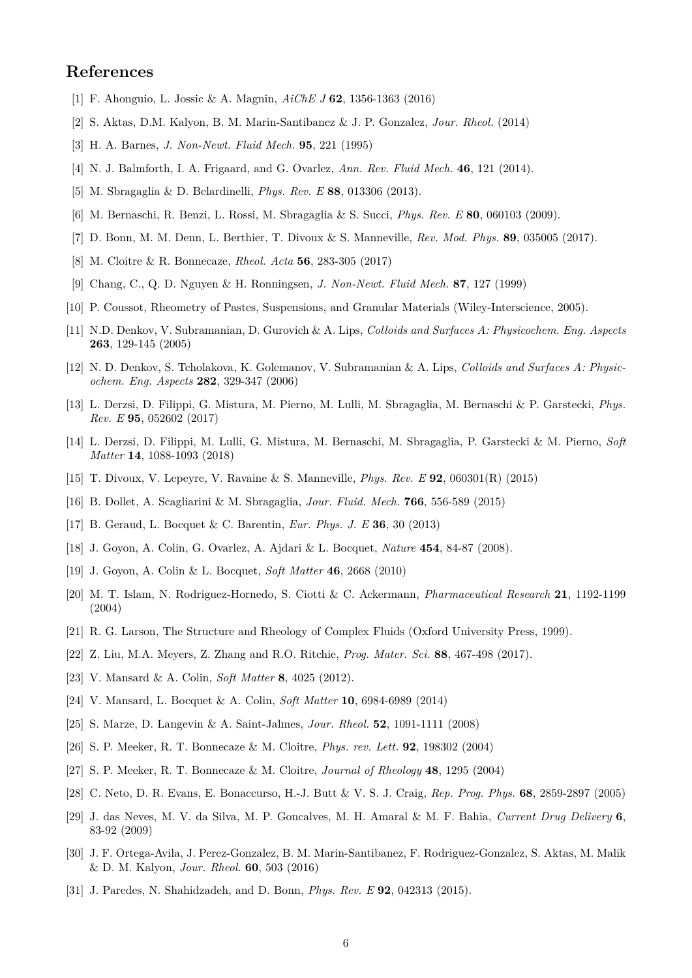# **References**

- <span id="page-5-19"></span>[1] F. Ahonguio, L. Jossic & A. Magnin, *AiChE J* **62**, 1356-1363 (2016)
- <span id="page-5-15"></span>[2] S. Aktas, D.M. Kalyon, B. M. Marin-Santibanez & J. P. Gonzalez, *Jour. Rheol.* (2014)
- <span id="page-5-7"></span>[3] H. A. Barnes, *J. Non-Newt. Fluid Mech.* **95**, 221 (1995)
- <span id="page-5-2"></span>[4] N. J. Balmforth, I. A. Frigaard, and G. Ovarlez, *Ann. Rev. Fluid Mech.* **46**, 121 (2014).
- <span id="page-5-28"></span>[5] M. Sbragaglia & D. Belardinelli, *Phys. Rev. E* **88**, 013306 (2013).
- <span id="page-5-27"></span>[6] M. Bernaschi, R. Benzi, L. Rossi, M. Sbragaglia & S. Succi, *Phys. Rev. E* **80**, 060103 (2009).
- <span id="page-5-3"></span>[7] D. Bonn, M. M. Denn, L. Berthier, T. Divoux & S. Manneville, *Rev. Mod. Phys.* **89**, 035005 (2017).
- <span id="page-5-8"></span>[8] M. Cloitre & R. Bonnecaze, *Rheol. Acta* **56**, 283-305 (2017)
- <span id="page-5-6"></span>[9] Chang, C., Q. D. Nguyen & H. Ronningsen, *J. Non-Newt. Fluid Mech.* **87**, 127 (1999)
- <span id="page-5-1"></span>[10] P. Coussot, Rheometry of Pastes, Suspensions, and Granular Materials (Wiley-Interscience, 2005).
- <span id="page-5-21"></span>[11] N.D. Denkov, V. Subramanian, D. Gurovich & A. Lips, *Colloids and Surfaces A: Physicochem. Eng. Aspects* **263**, 129-145 (2005)
- <span id="page-5-22"></span>[12] N. D. Denkov, S. Tcholakova, K. Golemanov, V. Subramanian & A. Lips, *Colloids and Surfaces A: Physicochem. Eng. Aspects* **282**, 329-347 (2006)
- <span id="page-5-24"></span>[13] L. Derzsi, D. Filippi, G. Mistura, M. Pierno, M. Lulli, M. Sbragaglia, M. Bernaschi & P. Garstecki, *Phys. Rev. E* **95**, 052602 (2017)
- <span id="page-5-25"></span>[14] L. Derzsi, D. Filippi, M. Lulli, G. Mistura, M. Bernaschi, M. Sbragaglia, P. Garstecki & M. Pierno, *Soft Matter* **14**, 1088-1093 (2018)
- <span id="page-5-16"></span>[15] T. Divoux, V. Lepeyre, V. Ravaine & S. Manneville, *Phys. Rev. E* **92**, 060301(R) (2015)
- <span id="page-5-29"></span>[16] B. Dollet, A. Scagliarini & M. Sbragaglia, *Jour. Fluid. Mech.* **766**, 556-589 (2015)
- <span id="page-5-17"></span>[17] B. Geraud, L. Bocquet & C. Barentin, *Eur. Phys. J. E* **36**, 30 (2013)
- <span id="page-5-9"></span>[18] J. Goyon, A. Colin, G. Ovarlez, A. Ajdari & L. Bocquet, *Nature* **454**, 84-87 (2008).
- <span id="page-5-10"></span>[19] J. Goyon, A. Colin & L. Bocquet, *Soft Matter* **46**, 2668 (2010)
- <span id="page-5-5"></span>[20] M. T. Islam, N. Rodriguez-Hornedo, S. Ciotti & C. Ackermann, *Pharmaceutical Research* **21**, 1192-1199 (2004)
- <span id="page-5-0"></span>[21] R. G. Larson, The Structure and Rheology of Complex Fluids (Oxford University Press, 1999).
- [22] Z. Liu, M.A. Meyers, Z. Zhang and R.O. Ritchie, *Prog. Mater. Sci.* **88**, 467-498 (2017).
- <span id="page-5-11"></span>[23] V. Mansard & A. Colin, *Soft Matter* **8**, 4025 (2012).
- <span id="page-5-18"></span>[24] V. Mansard, L. Bocquet & A. Colin, *Soft Matter* **10**, 6984-6989 (2014)
- <span id="page-5-23"></span>[25] S. Marze, D. Langevin & A. Saint-Jalmes, *Jour. Rheol.* **52**, 1091-1111 (2008)
- <span id="page-5-13"></span>[26] S. P. Meeker, R. T. Bonnecaze & M. Cloitre, *Phys. rev. Lett.* **92**, 198302 (2004)
- <span id="page-5-14"></span>[27] S. P. Meeker, R. T. Bonnecaze & M. Cloitre, *Journal of Rheology* **48**, 1295 (2004)
- <span id="page-5-12"></span>[28] C. Neto, D. R. Evans, E. Bonaccurso, H.-J. Butt & V. S. J. Craig, *Rep. Prog. Phys.* **68**, 2859-2897 (2005)
- <span id="page-5-4"></span>[29] J. das Neves, M. V. da Silva, M. P. Goncalves, M. H. Amaral & M. F. Bahia, *Current Drug Delivery* **6**, 83-92 (2009)
- <span id="page-5-20"></span>[30] J. F. Ortega-Avila, J. Perez-Gonzalez, B. M. Marin-Santibanez, F. Rodriguez-Gonzalez, S. Aktas, M. Malik & D. M. Kalyon, *Jour. Rheol.* **60**, 503 (2016)
- <span id="page-5-26"></span>[31] J. Paredes, N. Shahidzadeh, and D. Bonn, *Phys. Rev. E* **92**, 042313 (2015).